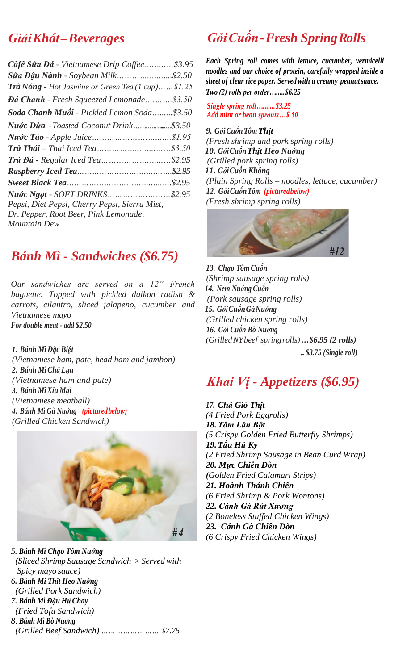### *GiảiKhát–Beverages*

| Càfê Sữa Đá - Vietnamese Drip Coffee\$3.95                          |  |
|---------------------------------------------------------------------|--|
| <b>Sữa Đậu Nành</b> - Soybean Milk    \$2.50                        |  |
| <b>Trà Nóng</b> - Hot Jasmine or Green Tea $(1 \text{ cup})$ \$1.25 |  |
| <b>Dá Chanh</b> - Fresh Squeezed Lemonade\$3.50                     |  |
| Soda Chanh Muối - Pickled Lemon Soda\$3.50                          |  |
|                                                                     |  |
|                                                                     |  |
|                                                                     |  |
|                                                                     |  |
|                                                                     |  |
|                                                                     |  |
| Nuóc Ngọt - SOFT DRINKS\$2.95                                       |  |
| Pepsi, Diet Pepsi, Cherry Pepsi, Sierra Mist,                       |  |
| Dr. Pepper, Root Beer, Pink Lemonade,                               |  |
| Mountain Dew                                                        |  |
|                                                                     |  |

### *Bánh Mì - Sandwiches (\$6.75)*

*Our sandwiches are served on a 12" French baguette. Topped with pickled daikon radish & carrots, cilantro, sliced jalapeno, cucumber and Vietnamese mayo For double meat - add \$2.50*

#### *1. Bánh Mì Đặc Biệt*

*(Vietnamese ham, pate, head ham and jambon) 2. Bánh MìChả Lụa (Vietnamese ham and pate) 3. Bánh MìXíu Mại (Vietnamese meatball) 4. Bánh Mì Gà Nuớng (picturedbelow) (Grilled Chicken Sandwich)*



*5. Bánh Mì Chạo Tôm Nuớng (Sliced Shrimp Sausage Sandwich > Served with Spicy mayo sauce) 6. Bánh Mì Thit Heo Nuớng (Grilled Pork Sandwich) 7. Bánh Mì Đậu HủChay (Fried Tofu Sandwich) 8. Bánh Mì Bò Nuớng (Grilled Beef Sandwich) …………………… \$7.75*

## *GỏiCuốn-Fresh SpringR olls*

*Each Spring roll comes with lettuce, cucumber, vermicelli noodles and our choice of protein, carefully wrapped inside a sheet of clear rice paper. Servedwith a creamy peanutsauce. Two (2) rolls per order….....\$6.25*

*Single spring roll….......\$3.25 Add mint or bean sprouts…\$.50*

*9. GỏiCuốnTôm Thịt (Fresh shrimp and pork spring rolls) 10. GỏiCuốnThịt Heo Nuớng (Grilled pork spring rolls) 11. GỏiCuốn Không (Plain Spring Rolls – noodles, lettuce, cucumber) 12. GỏiCuốnTôm (picturedbelow) (Fresh shrimp spring rolls)*



*13. Chạo Tôm Cuốn (Shrimp sausage spring rolls) 14. Nem Nuớng Cuốn (Pork sausage spring rolls) 15. GỏiCuốnGàNuớng (Grilled chicken spring rolls) 16. Gỏi Cuốn Bò Nuớng (GrilledNYbeef springrolls)…\$6.95 (2 rolls) .. \$3.75 (Single roll)*

### *Khai Vị - Appetizers (\$6.95)*

*17. Chả Giò Thịt (4 Fried Pork Eggrolls) 18.Tôm Lăn Bột (5 Crispy Golden Fried Butterfly Shrimps) 19.Tầu Hủ Ky (2 Fried Shrimp Sausage in Bean Curd Wrap) 20. Mực Chiên Dòn (Golden Fried Calamari Strips) 21. Hoành Thánh Chiên (6 Fried Shrimp & Pork Wontons) 22. Cánh Gà Rút Xương (2 Boneless Stuffed Chicken Wings) 23. Cánh Gà Chiên Dòn (6 Crispy Fried Chicken Wings)*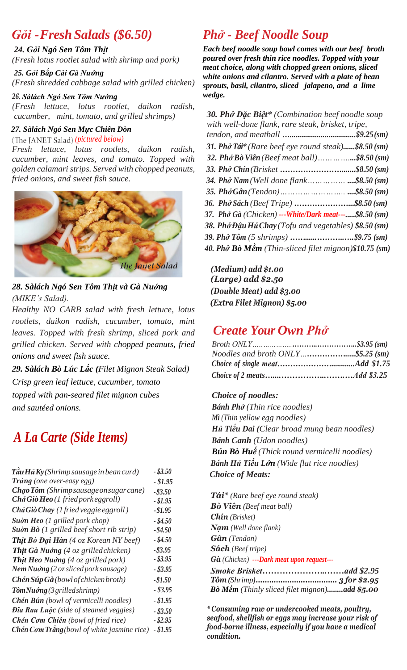### *Gỏi -Fresh Salads (\$6.50)*

#### *24. Gỏi Ngó Sen Tôm Thịt*

*(Fresh lotus rootlet salad with shrimp and pork)*

 *25. Gỏi Bắp Cải Gà Nướng (Fresh shredded cabbage salad with grilled chicken)*

#### *26. Sàlách Ngó Sen Tôm Nướng*

 *(Fresh lettuce, lotus rootlet, daikon radish, cucumber, mint, tomato, and grilled shrimps)*

#### *27. Sàlách Ngó Sen Mực Chiên Dòn*

*(pictured below)*

*Fresh lettuce, lotus rootlets, daikon radish, cucumber, mint leaves, and tomato. Topped with golden calamari strips. Served with chopped peanuts, fried onions, and sweet fish sauce.*



*28. Sàlách Ngó Sen Tôm Thịt và Gà Nuớng (MIKE's Salad).*

*Healthy NO CARB salad with fresh lettuce, lotus rootlets, daikon radish, cucumber, tomato, mint leaves. Topped with fresh shrimp, sliced pork and grilled chicken. Served with chopped peanuts, fried onions and sweet fish sauce.*

*29. Sàlách Bò Lúc Lắc (Filet Mignon Steak Salad) Crisp green leaf lettuce, cucumber, tomato topped with pan-seared filet mignon cubes and sautéed onions.*

## *A La Carte (Side Items)*

| $\hat{\tau}$ âu Hủ Ky (Shrimp sausage in bean curd)        | $-$ \$3.50 |
|------------------------------------------------------------|------------|
| Trúng (one over-easy egg)                                  | $- $1.95$  |
| Chạo Tôm (Shrimpsausage on sugar cane)                     | $- $3.50$  |
| Chả Giò Heo (1 fried pork eggroll)                         | $- $1.95$  |
| Chả Giò Chay (1 fried veggie eggroll)                      | $- $1.95$  |
| Suòn Heo $(1 \text{ grilled} \text{ } port \text{ } chop)$ | $-$ \$4.50 |
| Suòn Bò (1 grilled beef short rib strip)                   | $-$ \$4.50 |
| Thịt Bò Đại Hàn (4 oz Korean NY beef)                      | $- $4.50$  |
| <b>Thịt Gà Nuớng</b> (4 oz grilled chicken)                | $-$ \$3.95 |
| <b>Thịt Heo Nuớng</b> (4 oz grilled pork)                  | - \$3.95   |
| Nem Nuóng (2 oz sliced pork sausage)                       | $-$ \$3.95 |
| Chén Súp Gà (bowl of chicken broth)                        | $- $1.50$  |
| $T\hat{o}mNu\hat{o}ng(3\,grilledshrimp)$                   | - \$3.95   |
| Chén Bún (bowl of vermicelli noodles)                      | $- $1.95$  |
| Đĩa Rau Luộc (side of steamed veggies)                     | $-$ \$3.50 |
| Chén Cơm Chiên (bowl of fried rice)                        | $-$ \$2.95 |
| <b>Chén Cơm Trắng</b> (bowl of white jasmine rice)         | $- $1.95$  |

## *Phở - Beef Noodle Soup*

*Each beef noodle soup bowl comes with our beef broth poured over fresh thin rice noodles. Topped with your meat choice, along with chopped green onions, sliced white onions and cilantro. Served with a plate of bean sprouts, basil, cilantro, sliced jalapeno, and a lime wedge.*

| 30. Phở Đặc Biệt* (Combination beef noodle soup        |  |
|--------------------------------------------------------|--|
| with well-done flank, rare steak, brisket, tripe,      |  |
|                                                        |  |
| 31. Phở Tái* (Rare beef eye round steak)\$8.50 (sm)    |  |
| 32. Phở Bò Viên (Beef meat ball)\$8.50 (sm)            |  |
| 33. Phở Chín (Brisket \$8.50 (sm)                      |  |
| 34. Phở Nam (Well done flank\$8.50 (sm)                |  |
| 35. Phở Gân (Tendon)          \$8.50 (sm)              |  |
| 36. Phở Sách (Beef Tripe) \$8.50 (sm)                  |  |
| 37. Phở Gà (Chicken) --- White/Dark meat---\$8.50 (sm) |  |
| 38. Phở Đậu Hủ Chay (Tofu and vegetables) \$8.50 (sm)  |  |
|                                                        |  |
| 40. Phở Bò Mềm (Thin-sliced filet mignon)\$10.75 (sm)  |  |
|                                                        |  |

 *(Medium) add \$1.00 (Large) add \$2.50 (Double Meat) add \$3.00 (Extra Filet Mignon) \$5.00*

## *Create Your Own Phở*

| Noodles and broth $ONLY$ \$5.25 (sm) |  |
|--------------------------------------|--|
|                                      |  |
|                                      |  |

#### *Choice of noodles:*

*Bánh Phở (Thin rice noodles) Mì (Thin yellow egg noodles) Hủ Tiếu Dai (Clear broad mung bean noodles) Bánh Canh (Udon noodles) Bún Bò Huế (Thick round vermicelli noodles) Bánh Hủ Tiếu Lớn (Wide flat rice noodles) Choice of Meats:* 

*Tái\* (Rare beef eye round steak) Bò Viên (Beef meat ball) Chín (Brisket) Nạm (Well done flank) Gân (Tendon) Sách (Beef tripe) Gà (Chicken) ---Dark meat upon request--- Smoke Brisket…………………..……add \$2.95 Tôm (Shrimp)…………………..…………. 3 for \$2.95 Bò Mềm (Thinly sliced filet mignon)........add \$5.00*

*\* Consuming raw or undercooked meats, poultry, seafood, shellfish or eggs may increase your risk of food-borne illness, especially if you have a medical condition.*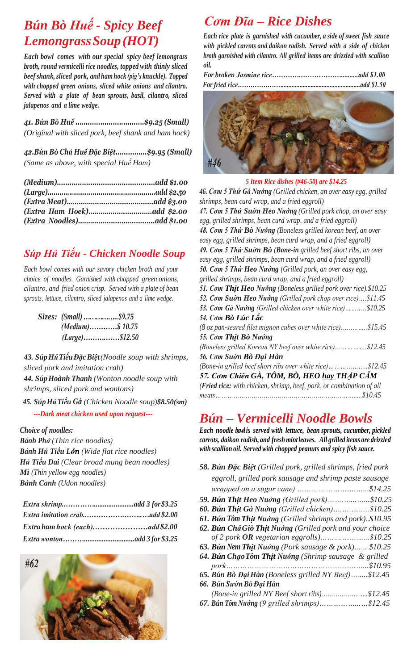## *Bún Bò Huế - Spicy Beef LemongrassSoup(HOT)*

*Each bowl comes with our special spicy beef lemongrass broth, round vermicelli rice noodles, topped with thinly sliced beef shank, sliced pork, and ham hock (pig's knuckle). Topped with chopped green onions, sliced white onions and cilantro. Served with a plate of bean sprouts, basil, cilantro, sliced jalapenos and a lime wedge.*

*41. Bún Bò Huế ..…............................\$9.25 (Small) (Original with sliced pork, beef shank and ham hock)*

*42.Bún Bò Chả Huế Đặc Biệt...............\$9.95 (Small) (Same as above, with special Huế Ham)*

#### *Súp Hủ Tiếu - Chicken Noodle Soup*

*Each bowl comes with our savory chicken broth and your choice of noodles. Garnished with chopped green onions, cilantro, and fried onion crisp. Served with a plate of bean sprouts, lettuce, cilantro, sliced jalapenos and a lime wedge.*

| ( <i>Medium</i> )\$ 10.75 |  |
|---------------------------|--|
| $(Large)$ \$12.50         |  |

*43. SúpHủTiếuĐặcBiệt(Noodle soup with shrimps, sliced pork and imitation crab) 44. SúpHoành Thanh (Wonton noodle soup with shrimps, sliced pork and wontons) 45. SúpHủTiếu Gà (Chicken Noodle soup)\$8.50(sm)*

#### *---Dark meat chicken used upon request---*

*Choice of noodles:*

*Bánh Phở (Thin rice noodles) Bánh Hủ Tiếu Lớn (Wide flat rice noodles) Hủ Tiếu Dai (Clear broad mung bean noodles) Mì (Thin yellow egg noodles) Bánh Canh (Udon noodles)*



## *Cơm Đĩa – Rice Dishes*

*Each rice plate is garnished with cucumber, a side of sweet fish sauce with pickled carrots and daikon radish. Served with a side of chicken broth garnished with cilantro. All grilled items are drizzled with scallion oil.*



|  |  | 5 Item Rice dishes (#46-50) are \$14.25 |
|--|--|-----------------------------------------|
|  |  |                                         |

*46. Cơm 5 Thứ Gà Nướng (Grilled chicken, an over easy egg, grilled shrimps, bean curd wrap, and a fried eggroll) 47. Cơm 5 Thứ Suờn Heo Nướng (Grilled pork chop, an over easy egg, grilled shrimps, bean curd wrap, and a fried eggroll) 48. Cơm 5 Thứ Bò Nướng (Boneless grilled korean beef, an over easy egg, grilled shrimps, bean curd wrap, and a fried eggroll) 49. Cơm 5 Thứ Suờn Bò (Bone-in grilled beef short ribs, an over easy egg, grilled shrimps, bean curd wrap, and a fried eggroll) 50. Cơm 5 Thứ Heo Nướng (Grilled pork, an over easy egg, grilled shrimps, bean curd wrap, and a fried eggroll) 51. Cơm Thịt Heo Nướng (Boneless grilled pork over rice).\$10.25 52. Cơm Suờn Heo Nướng (Grilled pork chop over rice)….\$11.45 53. Cơm Gà Nướng (Grilled chicken over white rice)……..…\$10.25 54. Cơm Bò Lúc Lắc (8 oz pan-seared filet mignon cubes over white rice).……..…..\$15.45 55. Cơm Thịt Bò Nướng (Boneless grilled Korean NY beef over white rice)…………….\$12.45 56. Cơm Suờn Bò Đại Hàn (Bone-in grilled beef short ribs over white rice)………………..\$12.45 57. Cơm Chiên GÀ, TÔM, BÒ, HEO hay THẬP CẪM (Fried rice: with chicken, shrimp, beef, pork, or combination of all meats…………………………………………………………….....\$10.45*

### *Bún – Vermicelli Noodle Bowls*

*Each noodle bowl is served with lettuce, bean sprouts, cucumber, pickled carrots, daikon radish, and fresh mintleaves. All grilled items are drizzled with scallion oil. Served with chopped peanuts and spicy fish sauce.*

| 58. Bún Đặc Biệt (Grilled pork, grilled shrimps, fried pork |  |
|-------------------------------------------------------------|--|
| eggroll, grilled pork sausage and shrimp paste sausage      |  |
|                                                             |  |
| 59. Bún Thịt Heo Nuớng (Grilled pork)\$10.25                |  |
| 60. Bún Thịt Gà Nuớng (Grilled chicken)\$10.25              |  |
| 61. Bún Tôm Thịt Nuớng (Grilled shrimps and pork)\$10.95    |  |
| 62. Bún Chả Giò Thịt Nuớng (Grilled pork and your choice    |  |
|                                                             |  |
| 63. Bún Nem Thịt Nuớng (Pork sausage & pork) \$10.25        |  |
| 64. Bún Chạo Tôm Thịt Nuớng (Shrimp sausage & grilled       |  |
|                                                             |  |
| 65. Bún Bò Đại Hàn (Boneless grilled NY Beef)\$12.45        |  |
| 66. Bún Sườn Bò Đại Hàn                                     |  |
| (Bone-in grilled NY Beef short ribs)\$12.45                 |  |
|                                                             |  |